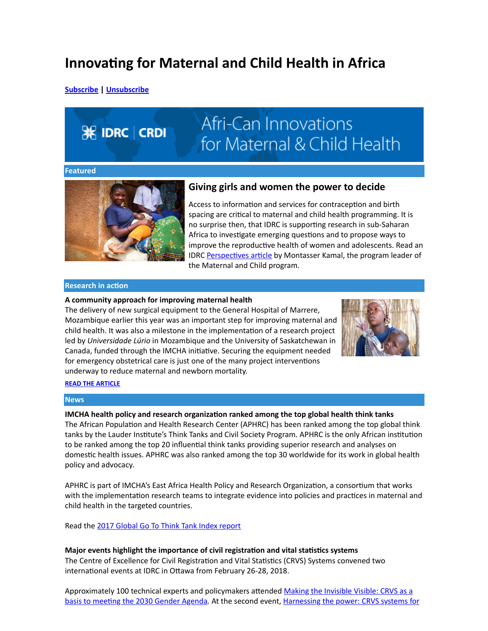### Innovating for Maternal and Child Health in Africa

[Subscribe](mailto:imcha@idrc.ca?subject=Subscribe%20to%20IMCHA%27s%20newsletter) | [Unsubscribe](mailto:imcha@idrc.ca?subject=Unsubscribe%20from%20IMCHA%27s%20newsletter)

# **EX IDRC** CRDI

## Afri-Can Innovations for Maternal & Child Health

#### Featured



#### Giving girls and women the power to decide

Access to information and services for contraception and birth spacing are critical to maternal and child health programming. It is no surprise then, that IDRC is supporting research in sub-Saharan Africa to investigate emerging questions and to propose ways to improve the reproductive health of women and adolescents. Read an IDRC Perspectives article by Montasser Kamal, the program leader of the Maternal and Child program.

#### **Research in action**

#### A community approach for improving maternal health

The delivery of new surgical equipment to the General Hospital of Marrere, Mozambique earlier this year was an important step for improving maternal and child health. It was also a milestone in the implementation of a research project led by Universidade Lúrio in Mozambique and the University of Saskatchewan in Canada, funded through the IMCHA initiative. Securing the equipment needed for emergency obstetrical care is just one of the many project interventions underway to reduce maternal and newborn mortality.



#### [READ THE ARTICLE](https://www.idrc.ca/en/research-in-action/community-approach-improving-maternal-health)

#### **News**

IMCHA health policy and research organization ranked among the top global health think tanks The African Population and Health Research Center (APHRC) has been ranked among the top global think tanks by the Lauder Institute's Think Tanks and Civil Society Program. APHRC is the only African institution to be ranked among the top 20 influential think tanks providing superior research and analyses on domestic health issues. APHRC was also ranked among the top 30 worldwide for its work in global health policy and advocacy.

APHRC is part of IMCHA's East Africa Health Policy and Research Organization, a consortium that works with the implementation research teams to integrate evidence into policies and practices in maternal and child health in the targeted countries.

Read the [2017 Global Go To Think Tank Index report](https://www.gotothinktank.com/global-goto-think-tank-index)

#### Major events highlight the importance of civil registration and vital statistics systems

The Centre of Excellence for Civil Registration and Vital Statistics (CRVS) Systems convened two international events at IDRC in Ottawa from February 26-28, 2018.

Approximately 100 technical experts and policymakers attended Making the Invisible Visible: CRVS as a basis to meeting the 2030 Gender Agenda. At the [second event, Harnessing the power: CRVS systems for](http://crvsinnovations.net/)